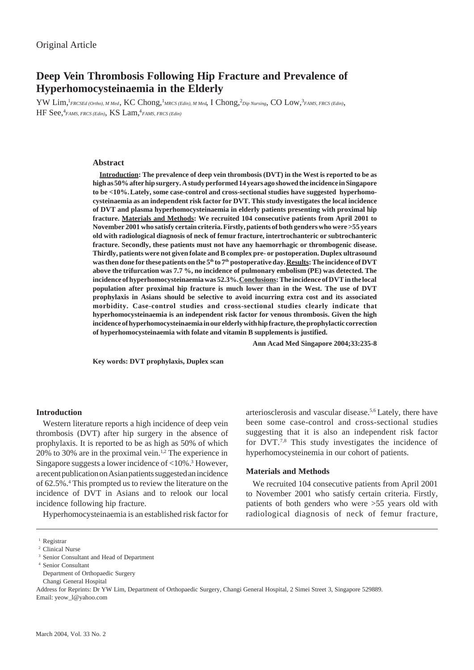# **Deep Vein Thrombosis Following Hip Fracture and Prevalence of Hyperhomocysteinaemia in the Elderly**

 ${\rm YW}\,{\rm Lim},^{1}$ FRCSEd (Ortho), M Med,  ${\rm KC}$  Chong,  $^{1}$ MRCS (Edin), M Med, I Chong,  $^{2}$ Dip Nursing, CO Low,  $^{3}$ FAMS, FRCS (Edin), HF See,4 *FAMS, FRCS (Edin)*, KS Lam,4 *FAMS, FRCS (Edin)*

#### **Abstract**

**Introduction: The prevalence of deep vein thrombosis (DVT) in the West is reported to be as high as 50% after hip surgery. A study performed 14 years ago showed the incidence in Singapore to be <10%.Lately, some case-control and cross-sectional studies have suggested hyperhomocysteinaemia as an independent risk factor for DVT. This study investigates the local incidence of DVT and plasma hyperhomocysteinaemia in elderly patients presenting with proximal hip fracture. Materials and Methods: We recruited 104 consecutive patients from April 2001 to November 2001 who satisfy certain criteria. Firstly, patients of both genders who were >55 years old with radiological diagnosis of neck of femur fracture, intertrochanteric or subtrochanteric fracture. Secondly, these patients must not have any haemorrhagic or thrombogenic disease. Thirdly, patients were not given folate and B complex pre- or postoperation. Duplex ultrasound** was then done for these patients on the 5<sup>th</sup> to 7<sup>th</sup> postoperative day. <u>Results</u>: The incidence of DVT **above the trifurcation was 7.7 %, no incidence of pulmonary embolism (PE) was detected. The incidence of hyperhomocysteinaemia was 52.3%. Conclusions: The incidence of DVT in the local population after proximal hip fracture is much lower than in the West. The use of DVT prophylaxis in Asians should be selective to avoid incurring extra cost and its associated morbidity. Case-control studies and cross-sectional studies clearly indicate that hyperhomocysteinaemia is an independent risk factor for venous thrombosis. Given the high incidence of hyperhomocysteinaemia in our elderly with hip fracture, the prophylactic correction of hyperhomocysteinaemia with folate and vitamin B supplements is justified.**

**Ann Acad Med Singapore 2004;33:235-8**

**Key words: DVT prophylaxis, Duplex scan**

## **Introduction**

Western literature reports a high incidence of deep vein thrombosis (DVT) after hip surgery in the absence of prophylaxis. It is reported to be as high as 50% of which 20% to 30% are in the proximal vein.<sup>1,2</sup> The experience in Singapore suggests a lower incidence of <10%.3 However, a recent publication on Asian patients suggested an incidence of 62.5%.4 This prompted us to review the literature on the incidence of DVT in Asians and to relook our local incidence following hip fracture.

Hyperhomocysteinaemia is an established risk factor for

arteriosclerosis and vascular disease.5,6 Lately, there have been some case-control and cross-sectional studies suggesting that it is also an independent risk factor for DVT.7,8 This study investigates the incidence of hyperhomocysteinemia in our cohort of patients.

# **Materials and Methods**

We recruited 104 consecutive patients from April 2001 to November 2001 who satisfy certain criteria. Firstly, patients of both genders who were >55 years old with radiological diagnosis of neck of femur fracture,

Address for Reprints: Dr YW Lim, Department of Orthopaedic Surgery, Changi General Hospital, 2 Simei Street 3, Singapore 529889. Email: yeow\_l@yahoo.com

<sup>&</sup>lt;sup>1</sup> Registrar

<sup>&</sup>lt;sup>2</sup> Clinical Nurse

<sup>&</sup>lt;sup>3</sup> Senior Consultant and Head of Department

<sup>4</sup> Senior Consultant

Department of Orthopaedic Surgery

Changi General Hospital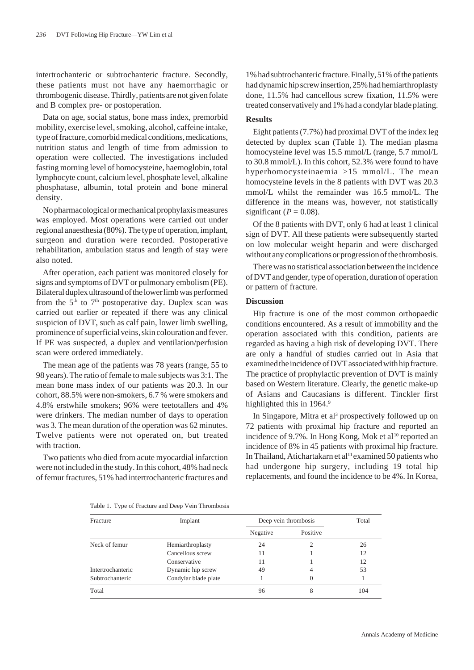intertrochanteric or subtrochanteric fracture. Secondly, these patients must not have any haemorrhagic or thrombogenic disease. Thirdly, patients are not given folate and B complex pre- or postoperation.

Data on age, social status, bone mass index, premorbid mobility, exercise level, smoking, alcohol, caffeine intake, type of fracture, comorbid medical conditions, medications, nutrition status and length of time from admission to operation were collected. The investigations included fasting morning level of homocysteine, haemoglobin, total lymphocyte count, calcium level, phosphate level, alkaline phosphatase, albumin, total protein and bone mineral density.

No pharmacological or mechanical prophylaxis measures was employed. Most operations were carried out under regional anaesthesia (80%). The type of operation, implant, surgeon and duration were recorded. Postoperative rehabilitation, ambulation status and length of stay were also noted.

After operation, each patient was monitored closely for signs and symptoms of DVT or pulmonary embolism (PE). Bilateral duplex ultrasound of the lower limb was performed from the  $5<sup>th</sup>$  to  $7<sup>th</sup>$  postoperative day. Duplex scan was carried out earlier or repeated if there was any clinical suspicion of DVT, such as calf pain, lower limb swelling, prominence of superficial veins, skin colouration and fever. If PE was suspected, a duplex and ventilation/perfusion scan were ordered immediately.

The mean age of the patients was 78 years (range, 55 to 98 years). The ratio of female to male subjects was 3:1. The mean bone mass index of our patients was 20.3. In our cohort, 88.5% were non-smokers, 6.7 % were smokers and 4.8% erstwhile smokers; 96% were teetotallers and 4% were drinkers. The median number of days to operation was 3. The mean duration of the operation was 62 minutes. Twelve patients were not operated on, but treated with traction.

Two patients who died from acute myocardial infarction were not included in the study. In this cohort, 48% had neck of femur fractures, 51% had intertrochanteric fractures and

1% had subtrochanteric fracture. Finally, 51% of the patients had dynamic hip screw insertion, 25% had hemiarthroplasty done, 11.5% had cancellous screw fixation, 11.5% were treated conservatively and 1% had a condylar blade plating.

# **Results**

Eight patients (7.7%) had proximal DVT of the index leg detected by duplex scan (Table 1). The median plasma homocysteine level was 15.5 mmol/L (range, 5.7 mmol/L to 30.8 mmol/L). In this cohort, 52.3% were found to have hyperhomocysteinaemia >15 mmol/L. The mean homocysteine levels in the 8 patients with DVT was 20.3 mmol/L whilst the remainder was 16.5 mmol/L. The difference in the means was, however, not statistically significant ( $P = 0.08$ ).

Of the 8 patients with DVT, only 6 had at least 1 clinical sign of DVT. All these patients were subsequently started on low molecular weight heparin and were discharged without any complications or progression of the thrombosis.

There was no statistical association between the incidence of DVT and gender, type of operation, duration of operation or pattern of fracture.

## **Discussion**

Hip fracture is one of the most common orthopaedic conditions encountered. As a result of immobility and the operation associated with this condition, patients are regarded as having a high risk of developing DVT. There are only a handful of studies carried out in Asia that examined the incidence of DVT associated with hip fracture. The practice of prophylactic prevention of DVT is mainly based on Western literature. Clearly, the genetic make-up of Asians and Caucasians is different. Tinckler first highlighted this in 1964.9

In Singapore, Mitra et al<sup>3</sup> prospectively followed up on 72 patients with proximal hip fracture and reported an incidence of 9.7%. In Hong Kong, Mok et al<sup>10</sup> reported an incidence of 8% in 45 patients with proximal hip fracture. In Thailand, Atichartakarn et al<sup>11</sup> examined 50 patients who had undergone hip surgery, including 19 total hip replacements, and found the incidence to be 4%. In Korea,

| Table 1. Type of Fracture and Deep Vein Thrombosis |  |  |
|----------------------------------------------------|--|--|
|                                                    |  |  |

| Fracture          | Implant              | Deep vein thrombosis |          | Total |
|-------------------|----------------------|----------------------|----------|-------|
|                   |                      | Negative             | Positive |       |
| Neck of femur     | Hemiarthroplasty     | 24                   |          | 26    |
|                   | Cancellous screw     | 11                   |          | 12    |
|                   | Conservative         | 11                   |          | 12    |
| Intertrochanteric | Dynamic hip screw    | 49                   | 4        | 53    |
| Subtrochanteric   | Condylar blade plate |                      | 0        |       |
| Total             |                      | 96                   | 8        | 104   |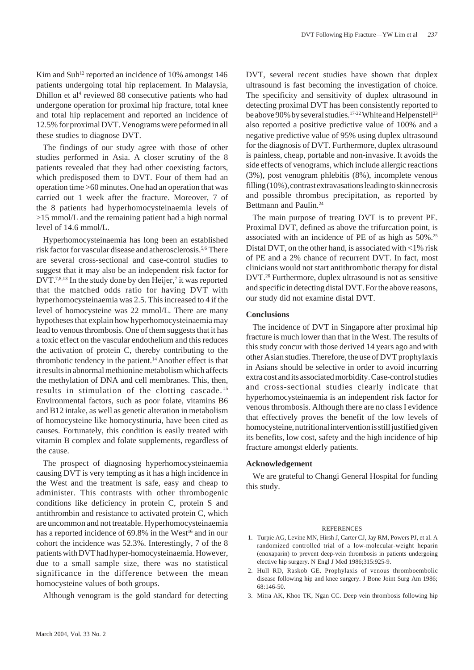Kim and Suh<sup>12</sup> reported an incidence of  $10\%$  amongst  $146$ patients undergoing total hip replacement. In Malaysia, Dhillon et al<sup>4</sup> reviewed 88 consecutive patients who had undergone operation for proximal hip fracture, total knee and total hip replacement and reported an incidence of 12.5% for proximal DVT. Venograms were peformed in all these studies to diagnose DVT.

The findings of our study agree with those of other studies performed in Asia. A closer scrutiny of the 8 patients revealed that they had other coexisting factors, which predisposed them to DVT. Four of them had an operation time >60 minutes. One had an operation that was carried out 1 week after the fracture. Moreover, 7 of the 8 patients had hyperhomocysteinaemia levels of >15 mmol/L and the remaining patient had a high normal level of 14.6 mmol/L.

Hyperhomocysteinaemia has long been an established risk factor for vascular disease and atherosclerosis.5,6 There are several cross-sectional and case-control studies to suggest that it may also be an independent risk factor for  $DVT$ .<sup>7,8,13</sup> In the study done by den Heijer,<sup>7</sup> it was reported that the matched odds ratio for having DVT with hyperhomocysteinaemia was 2.5. This increased to 4 if the level of homocysteine was 22 mmol/L. There are many hypotheses that explain how hyperhomocysteinaemia may lead to venous thrombosis. One of them suggests that it has a toxic effect on the vascular endothelium and this reduces the activation of protein C, thereby contributing to the thrombotic tendency in the patient.<sup>14</sup> Another effect is that it results in abnormal methionine metabolism which affects the methylation of DNA and cell membranes. This, then, results in stimulation of the clotting cascade.<sup>15</sup> Environmental factors, such as poor folate, vitamins B6 and B12 intake, as well as genetic alteration in metabolism of homocysteine like homocystinuria, have been cited as causes. Fortunately, this condition is easily treated with vitamin B complex and folate supplements, regardless of the cause.

The prospect of diagnosing hyperhomocysteinaemia causing DVT is very tempting as it has a high incidence in the West and the treatment is safe, easy and cheap to administer. This contrasts with other thrombogenic conditions like deficiency in protein C, protein S and antithrombin and resistance to activated protein C, which are uncommon and not treatable. Hyperhomocysteinaemia has a reported incidence of 69.8% in the West<sup>16</sup> and in our cohort the incidence was 52.3%. Interestingly, 7 of the 8 patients with DVT had hyper-homocysteinaemia. However, due to a small sample size, there was no statistical significance in the difference between the mean homocysteine values of both groups.

Although venogram is the gold standard for detecting

DVT, several recent studies have shown that duplex ultrasound is fast becoming the investigation of choice. The specificity and sensitivity of duplex ultrasound in detecting proximal DVT has been consistently reported to be above 90% by several studies.<sup>17-22</sup> White and Helpenstell<sup>23</sup> also reported a positive predictive value of 100% and a negative predictive value of 95% using duplex ultrasound for the diagnosis of DVT. Furthermore, duplex ultrasound is painless, cheap, portable and non-invasive. It avoids the side effects of venograms, which include allergic reactions (3%), post venogram phlebitis (8%), incomplete venous filling (10%), contrast extravasations leading to skin necrosis and possible thrombus precipitation, as reported by Bettmann and Paulin.<sup>24</sup>

The main purpose of treating DVT is to prevent PE. Proximal DVT, defined as above the trifurcation point, is associated with an incidence of PE of as high as 50%.25 Distal DVT, on the other hand, is associated with <1% risk of PE and a 2% chance of recurrent DVT. In fact, most clinicians would not start antithrombotic therapy for distal DVT.26 Furthermore, duplex ultrasound is not as sensitive and specific in detecting distal DVT. For the above reasons, our study did not examine distal DVT.

#### **Conclusions**

The incidence of DVT in Singapore after proximal hip fracture is much lower than that in the West. The results of this study concur with those derived 14 years ago and with other Asian studies. Therefore, the use of DVT prophylaxis in Asians should be selective in order to avoid incurring extra cost and its associated morbidity. Case-control studies and cross-sectional studies clearly indicate that hyperhomocysteinaemia is an independent risk factor for venous thrombosis. Although there are no class I evidence that effectively proves the benefit of the low levels of homocysteine, nutritional intervention is still justified given its benefits, low cost, safety and the high incidence of hip fracture amongst elderly patients.

## **Acknowledgement**

We are grateful to Changi General Hospital for funding this study.

#### **REFERENCES**

- 1. Turpie AG, Levine MN, Hirsh J, Carter CJ, Jay RM, Powers PJ, et al. A randomized controlled trial of a low-molecular-weight heparin (enoxaparin) to prevent deep-vein thrombosis in patients undergoing elective hip surgery. N Engl J Med 1986;315:925-9.
- 2. Hull RD, Raskob GE. Prophylaxis of venous thromboembolic disease following hip and knee surgery. J Bone Joint Surg Am 1986; 68:146-50.
- 3. Mitra AK, Khoo TK, Ngan CC. Deep vein thrombosis following hip